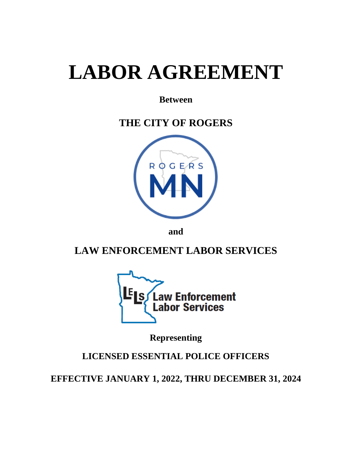# **LABOR AGREEMENT**

## **Between**

# **THE CITY OF ROGERS**



**and**

## **LAW ENFORCEMENT LABOR SERVICES**



**Representing**

## **LICENSED ESSENTIAL POLICE OFFICERS**

**EFFECTIVE JANUARY 1, 2022, THRU DECEMBER 31, 2024**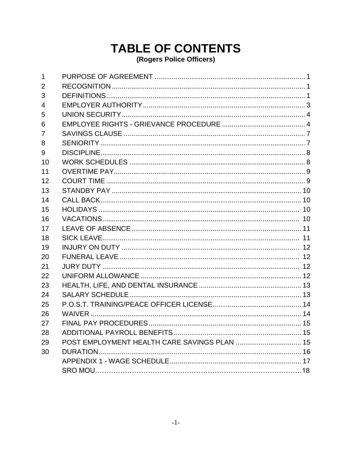## **TABLE OF CONTENTS** (Rogers Police Officers)

| 1  |                                              |  |
|----|----------------------------------------------|--|
| 2  |                                              |  |
| 3  |                                              |  |
| 4  |                                              |  |
| 5  |                                              |  |
| 6  |                                              |  |
| 7  |                                              |  |
| 8  |                                              |  |
| 9  |                                              |  |
| 10 |                                              |  |
| 11 |                                              |  |
| 12 |                                              |  |
| 13 |                                              |  |
| 14 |                                              |  |
| 15 |                                              |  |
| 16 |                                              |  |
| 17 |                                              |  |
| 18 |                                              |  |
| 19 |                                              |  |
| 20 |                                              |  |
| 21 |                                              |  |
| 22 |                                              |  |
| 23 |                                              |  |
| 24 |                                              |  |
| 25 |                                              |  |
| 26 |                                              |  |
| 27 |                                              |  |
| 28 |                                              |  |
| 29 | POST EMPLOYMENT HEALTH CARE SAVINGS PLAN  15 |  |
| 30 |                                              |  |
|    |                                              |  |
|    |                                              |  |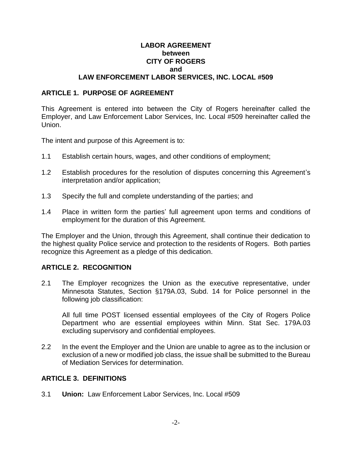#### **LABOR AGREEMENT between CITY OF ROGERS and LAW ENFORCEMENT LABOR SERVICES, INC. LOCAL #509**

#### **ARTICLE 1. PURPOSE OF AGREEMENT**

This Agreement is entered into between the City of Rogers hereinafter called the Employer, and Law Enforcement Labor Services, Inc. Local #509 hereinafter called the Union.

The intent and purpose of this Agreement is to:

- 1.1 Establish certain hours, wages, and other conditions of employment;
- 1.2 Establish procedures for the resolution of disputes concerning this Agreement's interpretation and/or application;
- 1.3 Specify the full and complete understanding of the parties; and
- 1.4 Place in written form the parties' full agreement upon terms and conditions of employment for the duration of this Agreement.

The Employer and the Union, through this Agreement, shall continue their dedication to the highest quality Police service and protection to the residents of Rogers. Both parties recognize this Agreement as a pledge of this dedication.

#### **ARTICLE 2. RECOGNITION**

2.1 The Employer recognizes the Union as the executive representative, under Minnesota Statutes, Section §179A.03, Subd. 14 for Police personnel in the following job classification:

All full time POST licensed essential employees of the City of Rogers Police Department who are essential employees within Minn. Stat Sec. 179A.03 excluding supervisory and confidential employees.

2.2 In the event the Employer and the Union are unable to agree as to the inclusion or exclusion of a new or modified job class, the issue shall be submitted to the Bureau of Mediation Services for determination.

#### **ARTICLE 3. DEFINITIONS**

3.1 **Union:** Law Enforcement Labor Services, Inc. Local #509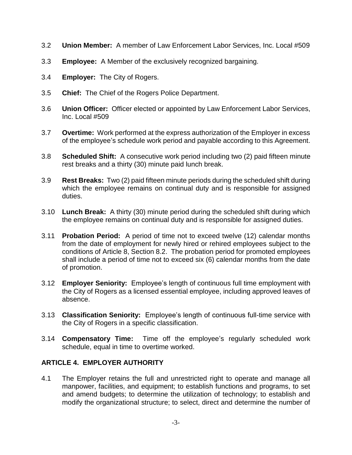- 3.2 **Union Member:** A member of Law Enforcement Labor Services, Inc. Local #509
- 3.3 **Employee:** A Member of the exclusively recognized bargaining.
- 3.4 **Employer:** The City of Rogers.
- 3.5 **Chief:** The Chief of the Rogers Police Department.
- 3.6 **Union Officer:** Officer elected or appointed by Law Enforcement Labor Services, Inc. Local #509
- 3.7 **Overtime:** Work performed at the express authorization of the Employer in excess of the employee's schedule work period and payable according to this Agreement.
- 3.8 **Scheduled Shift:** A consecutive work period including two (2) paid fifteen minute rest breaks and a thirty (30) minute paid lunch break.
- 3.9 **Rest Breaks:** Two (2) paid fifteen minute periods during the scheduled shift during which the employee remains on continual duty and is responsible for assigned duties.
- 3.10 **Lunch Break:** A thirty (30) minute period during the scheduled shift during which the employee remains on continual duty and is responsible for assigned duties.
- 3.11 **Probation Period:** A period of time not to exceed twelve (12) calendar months from the date of employment for newly hired or rehired employees subject to the conditions of Article 8, Section 8.2. The probation period for promoted employees shall include a period of time not to exceed six (6) calendar months from the date of promotion.
- 3.12 **Employer Seniority:** Employee's length of continuous full time employment with the City of Rogers as a licensed essential employee, including approved leaves of absence.
- 3.13 **Classification Seniority:** Employee's length of continuous full-time service with the City of Rogers in a specific classification.
- 3.14 **Compensatory Time:** Time off the employee's regularly scheduled work schedule, equal in time to overtime worked.

#### **ARTICLE 4. EMPLOYER AUTHORITY**

4.1 The Employer retains the full and unrestricted right to operate and manage all manpower, facilities, and equipment; to establish functions and programs, to set and amend budgets; to determine the utilization of technology; to establish and modify the organizational structure; to select, direct and determine the number of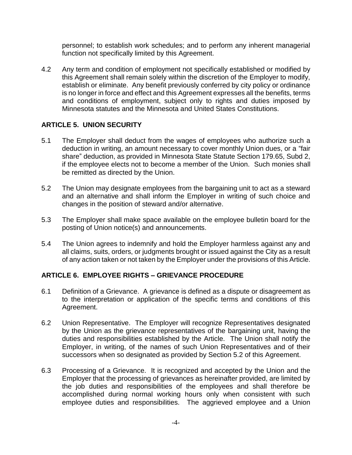personnel; to establish work schedules; and to perform any inherent managerial function not specifically limited by this Agreement.

4.2 Any term and condition of employment not specifically established or modified by this Agreement shall remain solely within the discretion of the Employer to modify, establish or eliminate. Any benefit previously conferred by city policy or ordinance is no longer in force and effect and this Agreement expresses all the benefits, terms and conditions of employment, subject only to rights and duties imposed by Minnesota statutes and the Minnesota and United States Constitutions.

#### **ARTICLE 5. UNION SECURITY**

- 5.1 The Employer shall deduct from the wages of employees who authorize such a deduction in writing, an amount necessary to cover monthly Union dues, or a "fair share" deduction, as provided in Minnesota State Statute Section 179.65, Subd 2, if the employee elects not to become a member of the Union. Such monies shall be remitted as directed by the Union.
- 5.2 The Union may designate employees from the bargaining unit to act as a steward and an alternative and shall inform the Employer in writing of such choice and changes in the position of steward and/or alternative.
- 5.3 The Employer shall make space available on the employee bulletin board for the posting of Union notice(s) and announcements.
- 5.4 The Union agrees to indemnify and hold the Employer harmless against any and all claims, suits, orders, or judgments brought or issued against the City as a result of any action taken or not taken by the Employer under the provisions of this Article.

#### **ARTICLE 6. EMPLOYEE RIGHTS – GRIEVANCE PROCEDURE**

- 6.1 Definition of a Grievance. A grievance is defined as a dispute or disagreement as to the interpretation or application of the specific terms and conditions of this Agreement.
- 6.2 Union Representative. The Employer will recognize Representatives designated by the Union as the grievance representatives of the bargaining unit, having the duties and responsibilities established by the Article. The Union shall notify the Employer, in writing, of the names of such Union Representatives and of their successors when so designated as provided by Section 5.2 of this Agreement.
- 6.3 Processing of a Grievance. It is recognized and accepted by the Union and the Employer that the processing of grievances as hereinafter provided, are limited by the job duties and responsibilities of the employees and shall therefore be accomplished during normal working hours only when consistent with such employee duties and responsibilities. The aggrieved employee and a Union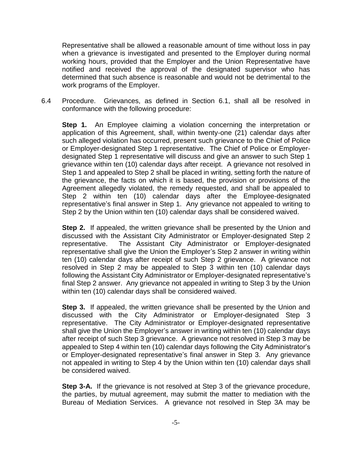Representative shall be allowed a reasonable amount of time without loss in pay when a grievance is investigated and presented to the Employer during normal working hours, provided that the Employer and the Union Representative have notified and received the approval of the designated supervisor who has determined that such absence is reasonable and would not be detrimental to the work programs of the Employer.

6.4 Procedure. Grievances, as defined in Section 6.1, shall all be resolved in conformance with the following procedure:

**Step 1.** An Employee claiming a violation concerning the interpretation or application of this Agreement, shall, within twenty-one (21) calendar days after such alleged violation has occurred, present such grievance to the Chief of Police or Employer-designated Step 1 representative. The Chief of Police or Employerdesignated Step 1 representative will discuss and give an answer to such Step 1 grievance within ten (10) calendar days after receipt. A grievance not resolved in Step 1 and appealed to Step 2 shall be placed in writing, setting forth the nature of the grievance, the facts on which it is based, the provision or provisions of the Agreement allegedly violated, the remedy requested, and shall be appealed to Step 2 within ten (10) calendar days after the Employee-designated representative's final answer in Step 1. Any grievance not appealed to writing to Step 2 by the Union within ten (10) calendar days shall be considered waived.

**Step 2.** If appealed, the written grievance shall be presented by the Union and discussed with the Assistant City Administrator or Employer-designated Step 2 representative. The Assistant City Administrator or Employer-designated representative shall give the Union the Employer's Step 2 answer in writing within ten (10) calendar days after receipt of such Step 2 grievance. A grievance not resolved in Step 2 may be appealed to Step 3 within ten (10) calendar days following the Assistant City Administrator or Employer-designated representative's final Step 2 answer. Any grievance not appealed in writing to Step 3 by the Union within ten (10) calendar days shall be considered waived.

**Step 3.** If appealed, the written grievance shall be presented by the Union and discussed with the City Administrator or Employer-designated Step 3 representative. The City Administrator or Employer-designated representative shall give the Union the Employer's answer in writing within ten (10) calendar days after receipt of such Step 3 grievance. A grievance not resolved in Step 3 may be appealed to Step 4 within ten (10) calendar days following the City Administrator's or Employer-designated representative's final answer in Step 3. Any grievance not appealed in writing to Step 4 by the Union within ten (10) calendar days shall be considered waived.

**Step 3-A.** If the grievance is not resolved at Step 3 of the grievance procedure, the parties, by mutual agreement, may submit the matter to mediation with the Bureau of Mediation Services. A grievance not resolved in Step 3A may be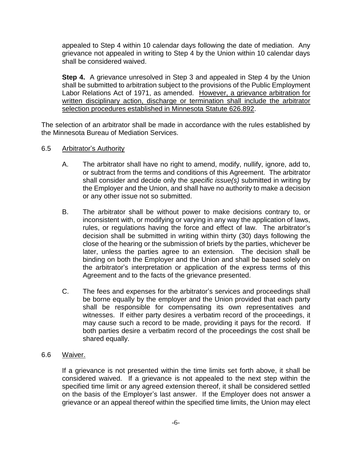appealed to Step 4 within 10 calendar days following the date of mediation. Any grievance not appealed in writing to Step 4 by the Union within 10 calendar days shall be considered waived.

**Step 4.** A grievance unresolved in Step 3 and appealed in Step 4 by the Union shall be submitted to arbitration subject to the provisions of the Public Employment Labor Relations Act of 1971, as amended. However, a grievance arbitration for written disciplinary action, discharge or termination shall include the arbitrator selection procedures established in Minnesota Statute 626.892.

The selection of an arbitrator shall be made in accordance with the rules established by the Minnesota Bureau of Mediation Services.

- 6.5 Arbitrator's Authority
	- A. The arbitrator shall have no right to amend, modify, nullify, ignore, add to, or subtract from the terms and conditions of this Agreement. The arbitrator shall consider and decide only the *specific issue(s)* submitted in writing by the Employer and the Union, and shall have no authority to make a decision or any other issue not so submitted.
	- B. The arbitrator shall be without power to make decisions contrary to, or inconsistent with, or modifying or varying in any way the application of laws, rules, or regulations having the force and effect of law. The arbitrator's decision shall be submitted in writing within thirty (30) days following the close of the hearing or the submission of briefs by the parties, whichever be later, unless the parties agree to an extension. The decision shall be binding on both the Employer and the Union and shall be based solely on the arbitrator's interpretation or application of the express terms of this Agreement and to the facts of the grievance presented.
	- C. The fees and expenses for the arbitrator's services and proceedings shall be borne equally by the employer and the Union provided that each party shall be responsible for compensating its own representatives and witnesses. If either party desires a verbatim record of the proceedings, it may cause such a record to be made, providing it pays for the record. If both parties desire a verbatim record of the proceedings the cost shall be shared equally.
- 6.6 Waiver.

If a grievance is not presented within the time limits set forth above, it shall be considered waived. If a grievance is not appealed to the next step within the specified time limit or any agreed extension thereof, it shall be considered settled on the basis of the Employer's last answer. If the Employer does not answer a grievance or an appeal thereof within the specified time limits, the Union may elect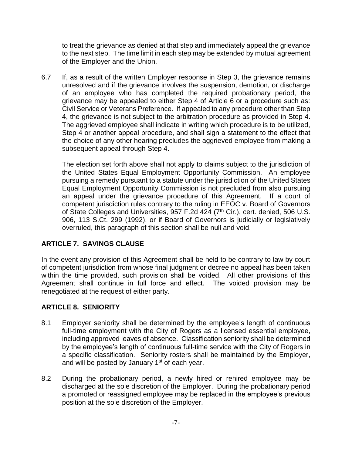to treat the grievance as denied at that step and immediately appeal the grievance to the next step. The time limit in each step may be extended by mutual agreement of the Employer and the Union.

6.7 If, as a result of the written Employer response in Step 3, the grievance remains unresolved and if the grievance involves the suspension, demotion, or discharge of an employee who has completed the required probationary period, the grievance may be appealed to either Step 4 of Article 6 or a procedure such as: Civil Service or Veterans Preference. If appealed to any procedure other than Step 4, the grievance is not subject to the arbitration procedure as provided in Step 4. The aggrieved employee shall indicate in writing which procedure is to be utilized, Step 4 or another appeal procedure, and shall sign a statement to the effect that the choice of any other hearing precludes the aggrieved employee from making a subsequent appeal through Step 4.

The election set forth above shall not apply to claims subject to the jurisdiction of the United States Equal Employment Opportunity Commission. An employee pursuing a remedy pursuant to a statute under the jurisdiction of the United States Equal Employment Opportunity Commission is not precluded from also pursuing an appeal under the grievance procedure of this Agreement. If a court of competent jurisdiction rules contrary to the ruling in EEOC v. Board of Governors of State Colleges and Universities, 957 F.2d 424 (7<sup>th</sup> Cir.), cert. denied, 506 U.S. 906, 113 S.Ct. 299 (1992), or if Board of Governors is judicially or legislatively overruled, this paragraph of this section shall be null and void.

### **ARTICLE 7. SAVINGS CLAUSE**

In the event any provision of this Agreement shall be held to be contrary to law by court of competent jurisdiction from whose final judgment or decree no appeal has been taken within the time provided, such provision shall be voided. All other provisions of this Agreement shall continue in full force and effect. The voided provision may be renegotiated at the request of either party.

#### **ARTICLE 8. SENIORITY**

- 8.1 Employer seniority shall be determined by the employee's length of continuous full-time employment with the City of Rogers as a licensed essential employee, including approved leaves of absence. Classification seniority shall be determined by the employee's length of continuous full-time service with the City of Rogers in a specific classification. Seniority rosters shall be maintained by the Employer, and will be posted by January  $1<sup>st</sup>$  of each year.
- 8.2 During the probationary period, a newly hired or rehired employee may be discharged at the sole discretion of the Employer. During the probationary period a promoted or reassigned employee may be replaced in the employee's previous position at the sole discretion of the Employer.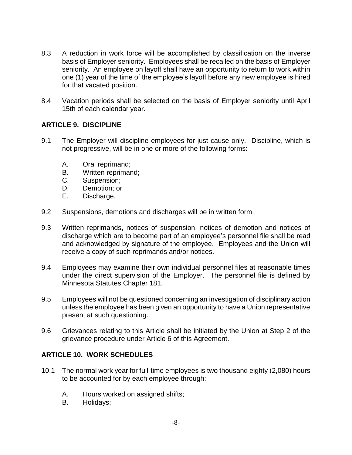- 8.3 A reduction in work force will be accomplished by classification on the inverse basis of Employer seniority. Employees shall be recalled on the basis of Employer seniority. An employee on layoff shall have an opportunity to return to work within one (1) year of the time of the employee's layoff before any new employee is hired for that vacated position.
- 8.4 Vacation periods shall be selected on the basis of Employer seniority until April 15th of each calendar year.

#### **ARTICLE 9. DISCIPLINE**

- 9.1 The Employer will discipline employees for just cause only. Discipline, which is not progressive, will be in one or more of the following forms:
	- A. Oral reprimand;
	- B. Written reprimand;
	- C. Suspension;
	- D. Demotion; or
	- E. Discharge.
- 9.2 Suspensions, demotions and discharges will be in written form.
- 9.3 Written reprimands, notices of suspension, notices of demotion and notices of discharge which are to become part of an employee's personnel file shall be read and acknowledged by signature of the employee. Employees and the Union will receive a copy of such reprimands and/or notices.
- 9.4 Employees may examine their own individual personnel files at reasonable times under the direct supervision of the Employer. The personnel file is defined by Minnesota Statutes Chapter 181.
- 9.5 Employees will not be questioned concerning an investigation of disciplinary action unless the employee has been given an opportunity to have a Union representative present at such questioning.
- 9.6 Grievances relating to this Article shall be initiated by the Union at Step 2 of the grievance procedure under Article 6 of this Agreement.

#### **ARTICLE 10. WORK SCHEDULES**

- 10.1 The normal work year for full-time employees is two thousand eighty (2,080) hours to be accounted for by each employee through:
	- A. Hours worked on assigned shifts;
	- B. Holidays;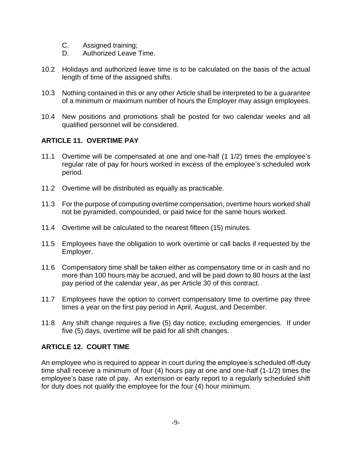- C. Assigned training;
- D. Authorized Leave Time.
- 10.2 Holidays and authorized leave time is to be calculated on the basis of the actual length of time of the assigned shifts.
- 10.3 Nothing contained in this or any other Article shall be interpreted to be a guarantee of a minimum or maximum number of hours the Employer may assign employees.
- 10.4 New positions and promotions shall be posted for two calendar weeks and all qualified personnel will be considered.

#### **ARTICLE 11. OVERTIME PAY**

- 11.1 Overtime will be compensated at one and one-half (1 1/2) times the employee's regular rate of pay for hours worked in excess of the employee's scheduled work period.
- 11.2 Overtime will be distributed as equally as practicable.
- 11.3 For the purpose of computing overtime compensation, overtime hours worked shall not be pyramided, compounded, or paid twice for the same hours worked.
- 11.4 Overtime will be calculated to the nearest fifteen (15) minutes.
- 11.5 Employees have the obligation to work overtime or call backs if requested by the Employer.
- 11.6 Compensatory time shall be taken either as compensatory time or in cash and no more than 100 hours may be accrued, and will be paid down to 80 hours at the last pay period of the calendar year, as per Article 30 of this contract.
- 11.7 Employees have the option to convert compensatory time to overtime pay three times a year on the first pay period in April, August, and December.
- 11.8 Any shift change requires a five (5) day notice, excluding emergencies. If under five (5) days, overtime will be paid for all shift changes.

#### **ARTICLE 12. COURT TIME**

An employee who is required to appear in court during the employee's scheduled off-duty time shall receive a minimum of four (4) hours pay at one and one-half (1-1/2) times the employee's base rate of pay. An extension or early report to a regularly scheduled shift for duty does not qualify the employee for the four (4) hour minimum.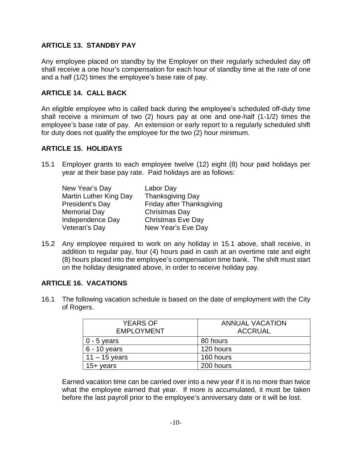#### **ARTICLE 13. STANDBY PAY**

Any employee placed on standby by the Employer on their regularly scheduled day off shall receive a one hour's compensation for each hour of standby time at the rate of one and a half (1/2) times the employee's base rate of pay.

#### **ARTICLE 14. CALL BACK**

An eligible employee who is called back during the employee's scheduled off-duty time shall receive a minimum of two (2) hours pay at one and one-half (1-1/2) times the employee's base rate of pay. An extension or early report to a regularly scheduled shift for duty does not qualify the employee for the two (2) hour minimum.

#### **ARTICLE 15. HOLIDAYS**

15.1 Employer grants to each employee twelve (12) eight (8) hour paid holidays per year at their base pay rate. Paid holidays are as follows:

| New Year's Day         | Labor Day                 |
|------------------------|---------------------------|
| Martin Luther King Day | <b>Thanksgiving Day</b>   |
| President's Day        | Friday after Thanksgiving |
| <b>Memorial Day</b>    | Christmas Day             |
| Independence Day       | <b>Christmas Eve Day</b>  |
| Veteran's Day          | New Year's Eve Day        |

15.2 Any employee required to work on any holiday in 15.1 above, shall receive, in addition to regular pay, four (4) hours paid in cash at an overtime rate and eight (8) hours placed into the employee's compensation time bank. The shift must start on the holiday designated above, in order to receive holiday pay.

#### **ARTICLE 16. VACATIONS**

16.1 The following vacation schedule is based on the date of employment with the City of Rogers.

| <b>YEARS OF</b><br><b>EMPLOYMENT</b> | <b>ANNUAL VACATION</b><br><b>ACCRUAL</b> |  |  |  |
|--------------------------------------|------------------------------------------|--|--|--|
| $0 - 5$ years                        | 80 hours                                 |  |  |  |
| $6 - 10$ years                       | 120 hours                                |  |  |  |
| $11 - 15$ years                      | 160 hours                                |  |  |  |
| 15+ years                            | 200 hours                                |  |  |  |

Earned vacation time can be carried over into a new year if it is no more than twice what the employee earned that year. If more is accumulated, it must be taken before the last payroll prior to the employee's anniversary date or it will be lost.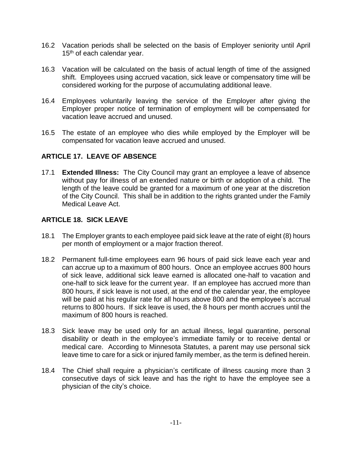- 16.2 Vacation periods shall be selected on the basis of Employer seniority until April 15<sup>th</sup> of each calendar year.
- 16.3 Vacation will be calculated on the basis of actual length of time of the assigned shift. Employees using accrued vacation, sick leave or compensatory time will be considered working for the purpose of accumulating additional leave.
- 16.4 Employees voluntarily leaving the service of the Employer after giving the Employer proper notice of termination of employment will be compensated for vacation leave accrued and unused.
- 16.5 The estate of an employee who dies while employed by the Employer will be compensated for vacation leave accrued and unused.

#### **ARTICLE 17. LEAVE OF ABSENCE**

17.1 **Extended Illness:** The City Council may grant an employee a leave of absence without pay for illness of an extended nature or birth or adoption of a child. The length of the leave could be granted for a maximum of one year at the discretion of the City Council. This shall be in addition to the rights granted under the Family Medical Leave Act.

#### **ARTICLE 18. SICK LEAVE**

- 18.1 The Employer grants to each employee paid sick leave at the rate of eight (8) hours per month of employment or a major fraction thereof.
- 18.2 Permanent full-time employees earn 96 hours of paid sick leave each year and can accrue up to a maximum of 800 hours. Once an employee accrues 800 hours of sick leave, additional sick leave earned is allocated one-half to vacation and one-half to sick leave for the current year. If an employee has accrued more than 800 hours, if sick leave is not used, at the end of the calendar year, the employee will be paid at his regular rate for all hours above 800 and the employee's accrual returns to 800 hours. If sick leave is used, the 8 hours per month accrues until the maximum of 800 hours is reached.
- 18.3 Sick leave may be used only for an actual illness, legal quarantine, personal disability or death in the employee's immediate family or to receive dental or medical care. According to Minnesota Statutes, a parent may use personal sick leave time to care for a sick or injured family member, as the term is defined herein.
- 18.4 The Chief shall require a physician's certificate of illness causing more than 3 consecutive days of sick leave and has the right to have the employee see a physician of the city's choice.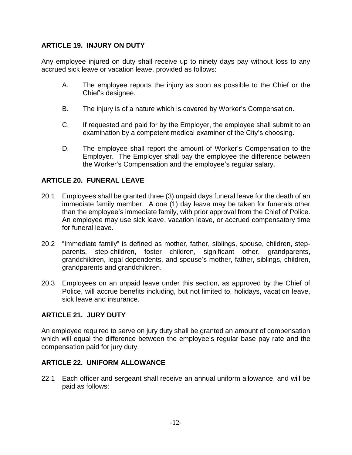#### **ARTICLE 19. INJURY ON DUTY**

Any employee injured on duty shall receive up to ninety days pay without loss to any accrued sick leave or vacation leave, provided as follows:

- A. The employee reports the injury as soon as possible to the Chief or the Chief's designee.
- B. The injury is of a nature which is covered by Worker's Compensation.
- C. If requested and paid for by the Employer, the employee shall submit to an examination by a competent medical examiner of the City's choosing.
- D. The employee shall report the amount of Worker's Compensation to the Employer. The Employer shall pay the employee the difference between the Worker's Compensation and the employee's regular salary.

#### **ARTICLE 20. FUNERAL LEAVE**

- 20.1 Employees shall be granted three (3) unpaid days funeral leave for the death of an immediate family member. A one (1) day leave may be taken for funerals other than the employee's immediate family, with prior approval from the Chief of Police. An employee may use sick leave, vacation leave, or accrued compensatory time for funeral leave.
- 20.2 "Immediate family" is defined as mother, father, siblings, spouse, children, stepparents, step-children, foster children, significant other, grandparents, grandchildren, legal dependents, and spouse's mother, father, siblings, children, grandparents and grandchildren.
- 20.3 Employees on an unpaid leave under this section, as approved by the Chief of Police, will accrue benefits including, but not limited to, holidays, vacation leave, sick leave and insurance.

#### **ARTICLE 21. JURY DUTY**

An employee required to serve on jury duty shall be granted an amount of compensation which will equal the difference between the employee's regular base pay rate and the compensation paid for jury duty.

#### **ARTICLE 22. UNIFORM ALLOWANCE**

22.1 Each officer and sergeant shall receive an annual uniform allowance, and will be paid as follows: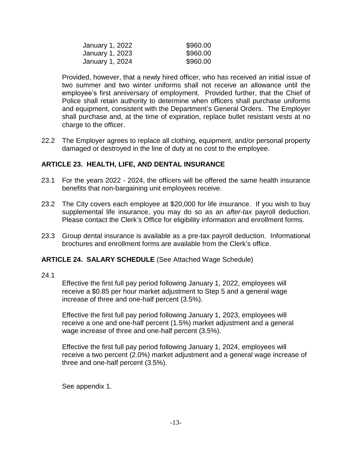| January 1, 2022 | \$960.00 |
|-----------------|----------|
| January 1, 2023 | \$960.00 |
| January 1, 2024 | \$960.00 |

Provided, however, that a newly hired officer, who has received an initial issue of two summer and two winter uniforms shall not receive an allowance until the employee's first anniversary of employment. Provided further, that the Chief of Police shall retain authority to determine when officers shall purchase uniforms and equipment, consistent with the Department's General Orders. The Employer shall purchase and, at the time of expiration, replace bullet resistant vests at no charge to the officer.

22.2 The Employer agrees to replace all clothing, equipment, and/or personal property damaged or destroyed in the line of duty at no cost to the employee.

#### **ARTICLE 23. HEALTH, LIFE, AND DENTAL INSURANCE**

- 23.1 For the years 2022 2024, the officers will be offered the same health insurance benefits that non-bargaining unit employees receive.
- 23.2 The City covers each employee at \$20,000 for life insurance. If you wish to buy supplemental life insurance, you may do so as an *after-tax* payroll deduction. Please contact the Clerk's Office for eligibility information and enrollment forms.
- 23.3 Group dental insurance is available as a pre-tax payroll deduction. Informational brochures and enrollment forms are available from the Clerk's office.

#### **ARTICLE 24. SALARY SCHEDULE** (See Attached Wage Schedule)

24.1

Effective the first full pay period following January 1, 2022, employees will receive a \$0.85 per hour market adjustment to Step 5 and a general wage increase of three and one-half percent (3.5%).

Effective the first full pay period following January 1, 2023, employees will receive a one and one-half percent (1.5%) market adjustment and a general wage increase of three and one-half percent (3.5%).

Effective the first full pay period following January 1, 2024, employees will receive a two percent (2.0%) market adjustment and a general wage increase of three and one-half percent (3.5%).

See appendix 1.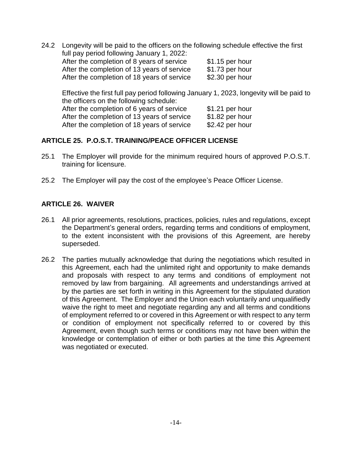24.2 Longevity will be paid to the officers on the following schedule effective the first full pay period following January 1, 2022: After the completion of 8 years of service \$1.15 per hour After the completion of 13 years of service \$1.73 per hour After the completion of 18 years of service \$2.30 per hour

Effective the first full pay period following January 1, 2023, longevity will be paid to the officers on the following schedule: After the completion of 6 years of service \$1.21 per hour After the completion of 13 years of service \$1.82 per hour After the completion of 18 years of service \$2.42 per hour

#### **ARTICLE 25. P.O.S.T. TRAINING/PEACE OFFICER LICENSE**

- 25.1 The Employer will provide for the minimum required hours of approved P.O.S.T. training for licensure.
- 25.2 The Employer will pay the cost of the employee's Peace Officer License.

#### **ARTICLE 26. WAIVER**

- 26.1 All prior agreements, resolutions, practices, policies, rules and regulations, except the Department's general orders, regarding terms and conditions of employment, to the extent inconsistent with the provisions of this Agreement, are hereby superseded.
- 26.2 The parties mutually acknowledge that during the negotiations which resulted in this Agreement, each had the unlimited right and opportunity to make demands and proposals with respect to any terms and conditions of employment not removed by law from bargaining. All agreements and understandings arrived at by the parties are set forth in writing in this Agreement for the stipulated duration of this Agreement. The Employer and the Union each voluntarily and unqualifiedly waive the right to meet and negotiate regarding any and all terms and conditions of employment referred to or covered in this Agreement or with respect to any term or condition of employment not specifically referred to or covered by this Agreement, even though such terms or conditions may not have been within the knowledge or contemplation of either or both parties at the time this Agreement was negotiated or executed.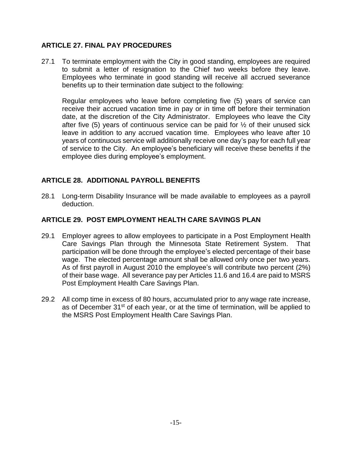#### **ARTICLE 27. FINAL PAY PROCEDURES**

27.1 To terminate employment with the City in good standing, employees are required to submit a letter of resignation to the Chief two weeks before they leave. Employees who terminate in good standing will receive all accrued severance benefits up to their termination date subject to the following:

Regular employees who leave before completing five (5) years of service can receive their accrued vacation time in pay or in time off before their termination date, at the discretion of the City Administrator. Employees who leave the City after five (5) years of continuous service can be paid for  $\frac{1}{2}$  of their unused sick leave in addition to any accrued vacation time. Employees who leave after 10 years of continuous service will additionally receive one day's pay for each full year of service to the City. An employee's beneficiary will receive these benefits if the employee dies during employee's employment.

#### **ARTICLE 28. ADDITIONAL PAYROLL BENEFITS**

28.1 Long-term Disability Insurance will be made available to employees as a payroll deduction.

#### **ARTICLE 29. POST EMPLOYMENT HEALTH CARE SAVINGS PLAN**

- 29.1 Employer agrees to allow employees to participate in a Post Employment Health Care Savings Plan through the Minnesota State Retirement System. That participation will be done through the employee's elected percentage of their base wage. The elected percentage amount shall be allowed only once per two years. As of first payroll in August 2010 the employee's will contribute two percent (2%) of their base wage. All severance pay per Articles 11.6 and 16.4 are paid to MSRS Post Employment Health Care Savings Plan.
- 29.2 All comp time in excess of 80 hours, accumulated prior to any wage rate increase, as of December 31<sup>st</sup> of each year, or at the time of termination, will be applied to the MSRS Post Employment Health Care Savings Plan.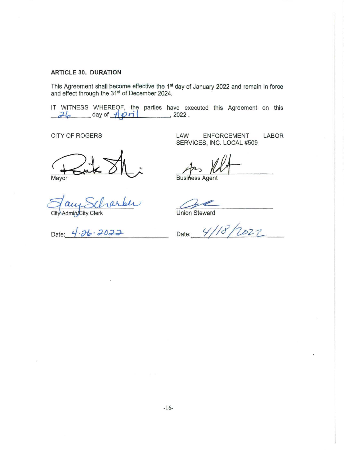#### **ARTICLE 30. DURATION**

This Agreement shall become effective the 1<sup>st</sup> day of January 2022 and remain in force and effect through the 31st of December 2024.

IT WITNESS WHEREOF, the parties have executed this Agreement on this *,?-it:,* day of **-ftJ2 ri** ( , 2022 .

Mayor  $R_{\text{layer}}$ 

Admin/City Clerk

CITY OF ROGERS LAW ENFORCEMENT LABOR SERVICES, INC. LOCAL #509

Union Steward

Date: 4.26.2022 Date: 4/18/2022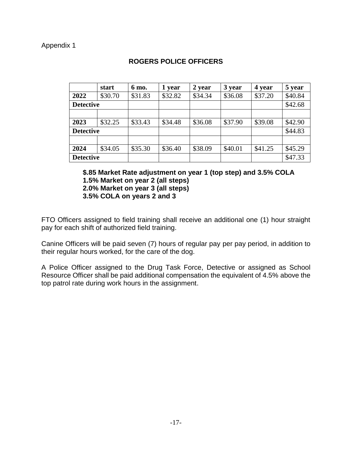|                  | start   | 6 mo.   | 1 year  | 2 year  | 3 year  | 4 year  | 5 year  |
|------------------|---------|---------|---------|---------|---------|---------|---------|
| 2022             | \$30.70 | \$31.83 | \$32.82 | \$34.34 | \$36.08 | \$37.20 | \$40.84 |
| <b>Detective</b> |         |         |         |         |         |         | \$42.68 |
|                  |         |         |         |         |         |         |         |
| 2023             | \$32.25 | \$33.43 | \$34.48 | \$36.08 | \$37.90 | \$39.08 | \$42.90 |
| <b>Detective</b> |         |         |         |         |         |         | \$44.83 |
|                  |         |         |         |         |         |         |         |
| 2024             | \$34.05 | \$35.30 | \$36.40 | \$38.09 | \$40.01 | \$41.25 | \$45.29 |
| <b>Detective</b> |         |         |         |         |         |         | \$47.33 |

## **ROGERS POLICE OFFICERS**

**\$.85 Market Rate adjustment on year 1 (top step) and 3.5% COLA 1.5% Market on year 2 (all steps)**

**2.0% Market on year 3 (all steps)**

**3.5% COLA on years 2 and 3**

FTO Officers assigned to field training shall receive an additional one (1) hour straight pay for each shift of authorized field training.

Canine Officers will be paid seven (7) hours of regular pay per pay period, in addition to their regular hours worked, for the care of the dog.

A Police Officer assigned to the Drug Task Force, Detective or assigned as School Resource Officer shall be paid additional compensation the equivalent of 4.5% above the top patrol rate during work hours in the assignment.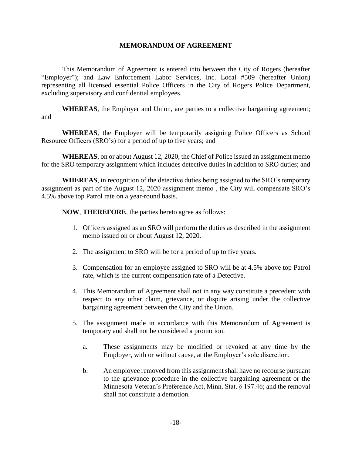#### **MEMORANDUM OF AGREEMENT**

This Memorandum of Agreement is entered into between the City of Rogers (hereafter "Employer"); and Law Enforcement Labor Services, Inc. Local #509 (hereafter Union) representing all licensed essential Police Officers in the City of Rogers Police Department, excluding supervisory and confidential employees.

**WHEREAS**, the Employer and Union, are parties to a collective bargaining agreement; and

**WHEREAS**, the Employer will be temporarily assigning Police Officers as School Resource Officers (SRO's) for a period of up to five years; and

**WHEREAS**, on or about August 12, 2020, the Chief of Police issued an assignment memo for the SRO temporary assignment which includes detective duties in addition to SRO duties; and

**WHEREAS**, in recognition of the detective duties being assigned to the SRO's temporary assignment as part of the August 12, 2020 assignment memo , the City will compensate SRO's 4.5% above top Patrol rate on a year-round basis.

**NOW**, **THEREFORE**, the parties hereto agree as follows:

- 1. Officers assigned as an SRO will perform the duties as described in the assignment memo issued on or about August 12, 2020.
- 2. The assignment to SRO will be for a period of up to five years.
- 3. Compensation for an employee assigned to SRO will be at 4.5% above top Patrol rate, which is the current compensation rate of a Detective.
- 4. This Memorandum of Agreement shall not in any way constitute a precedent with respect to any other claim, grievance, or dispute arising under the collective bargaining agreement between the City and the Union.
- 5. The assignment made in accordance with this Memorandum of Agreement is temporary and shall not be considered a promotion.
	- a. These assignments may be modified or revoked at any time by the Employer, with or without cause, at the Employer's sole discretion.
	- b. An employee removed from this assignment shall have no recourse pursuant to the grievance procedure in the collective bargaining agreement or the Minnesota Veteran's Preference Act, Minn. Stat. § 197.46; and the removal shall not constitute a demotion.